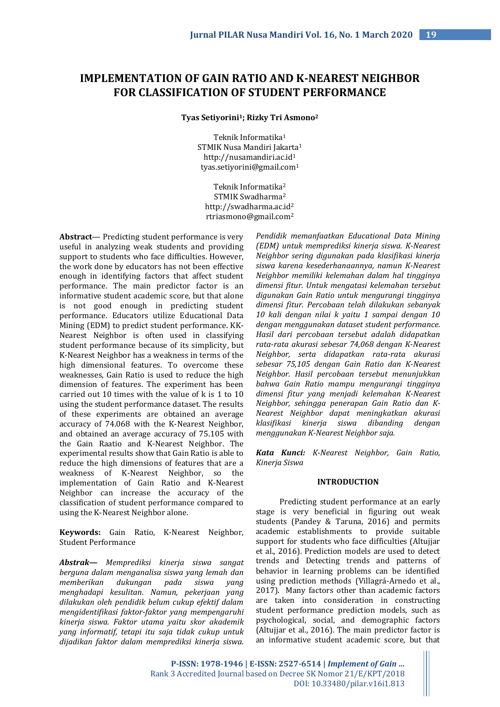# **IMPLEMENTATION OF GAIN RATIO AND K-NEAREST NEIGHBOR FOR CLASSIFICATION OF STUDENT PERFORMANCE**

### **Tyas Setiyorini1; Rizky Tri Asmono<sup>2</sup>**

Teknik Informatika<sup>1</sup> STMIK Nusa Mandiri Jakarta<sup>1</sup> http://nusamandiri.ac.id<sup>1</sup> tyas.setiyorini@gmail.com<sup>1</sup>

Teknik Informatika<sup>2</sup> STMIK Swadharma<sup>2</sup> http://swadharma.ac.id<sup>2</sup> rtriasmono@gmail.com<sup>2</sup>

**Abstract**— Predicting student performance is very useful in analyzing weak students and providing support to students who face difficulties. However, the work done by educators has not been effective enough in identifying factors that affect student performance. The main predictor factor is an informative student academic score, but that alone is not good enough in predicting student performance. Educators utilize Educational Data Mining (EDM) to predict student performance. KK-Nearest Neighbor is often used in classifying student performance because of its simplicity, but K-Nearest Neighbor has a weakness in terms of the high dimensional features. To overcome these weaknesses, Gain Ratio is used to reduce the high dimension of features. The experiment has been carried out 10 times with the value of k is 1 to 10 using the student performance dataset. The results of these experiments are obtained an average accuracy of 74.068 with the K-Nearest Neighbor, and obtained an average accuracy of 75.105 with the Gain Raatio and K-Nearest Neighbor. The experimental results show that Gain Ratio is able to reduce the high dimensions of features that are a weakness of K-Nearest Neighbor, so the implementation of Gain Ratio and K-Nearest Neighbor can increase the accuracy of the classification of student performance compared to using the K-Nearest Neighbor alone.

**Keywords:** Gain Ratio, K-Nearest Neighbor, Student Performance

*Abstrak— Memprediksi kinerja siswa sangat berguna dalam menganalisa siswa yang lemah dan memberikan dukungan pada siswa yang menghadapi kesulitan. Namun, pekerjaan yang dilakukan oleh pendidik belum cukup efektif dalam mengidentifikasi faktor-faktor yang mempengaruhi kinerja siswa. Faktor utama yaitu skor akademik yang informatif, tetapi itu saja tidak cukup untuk dijadikan faktor dalam memprediksi kinerja siswa.*

*Pendidik memanfaatkan Educational Data Mining (EDM) untuk memprediksi kinerja siswa. K-Nearest Neighbor sering digunakan pada klasifikasi kinerja siswa karena kesederhanaannya, namun K-Nearest Neighbor memiliki kelemahan dalam hal tingginya dimensi fitur. Untuk mengatasi kelemahan tersebut digunakan Gain Ratio untuk mengurangi tingginya dimensi fitur. Percobaan telah dilakukan sebanyak 10 kali dengan nilai k yaitu 1 sampai dengan 10 dengan menggunakan dataset student performance. Hasil dari percobaan tersebut adalah didapatkan rata-rata akurasi sebesar 74,068 dengan K-Nearest Neighbor, serta didapatkan rata-rata akurasi sebesar 75,105 dengan Gain Ratio dan K-Nearest Neighbor. Hasil percobaan tersebut menunjukkan bahwa Gain Ratio mampu mengurangi tingginya dimensi fitur yang menjadi kelemahan K-Nearest Neighbor, sehingga penerapan Gain Ratio dan K-Nearest Neighbor dapat meningkatkan akurasi klasifikasi kinerja siswa dibanding dengan menggunakan K-Nearest Neighbor saja.*

*Kata Kunci: K-Nearest Neighbor, Gain Ratio, Kinerja Siswa*

## **INTRODUCTION**

Predicting student performance at an early stage is very beneficial in figuring out weak students (Pandey & Taruna, 2016) and permits academic establishments to provide suitable support for students who face difficulties (Altujjar et al., 2016). Prediction models are used to detect trends and Detecting trends and patterns of behavior in learning problems can be identified using prediction methods (Villagrá-Arnedo et al., 2017). Many factors other than academic factors are taken into consideration in constructing student performance prediction models, such as psychological, social, and demographic factors (Altujjar et al., 2016). The main predictor factor is an informative student academic score, but that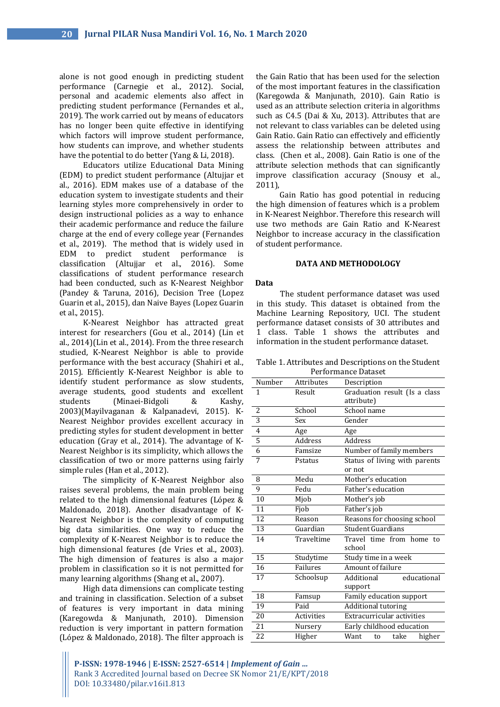alone is not good enough in predicting student performance (Carnegie et al., 2012). Social, personal and academic elements also affect in predicting student performance (Fernandes et al., 2019). The work carried out by means of educators has no longer been quite effective in identifying which factors will improve student performance, how students can improve, and whether students have the potential to do better (Yang & Li, 2018).

Educators utilize Educational Data Mining (EDM) to predict student performance (Altujjar et al., 2016). EDM makes use of a database of the education system to investigate students and their learning styles more comprehensively in order to design instructional policies as a way to enhance their academic performance and reduce the failure charge at the end of every college year (Fernandes et al., 2019). The method that is widely used in EDM to predict student performance is classification (Altujjar et al., 2016). Some classifications of student performance research had been conducted, such as K-Nearest Neighbor (Pandey & Taruna, 2016), Decision Tree (Lopez Guarin et al., 2015), dan Naive Bayes (Lopez Guarin et al., 2015).

K-Nearest Neighbor has attracted great interest for researchers (Gou et al., 2014) (Lin et al., 2014)(Lin et al., 2014). From the three research studied, K-Nearest Neighbor is able to provide performance with the best accuracy (Shahiri et al., 2015). Efficiently K-Nearest Neighbor is able to identify student performance as slow students, average students, good students and excellent students (Minaei-Bidgoli & Kashy, 2003)(Mayilvaganan & Kalpanadevi, 2015). K-Nearest Neighbor provides excellent accuracy in predicting styles for student development in better education (Gray et al., 2014). The advantage of K-Nearest Neighbor is its simplicity, which allows the classification of two or more patterns using fairly simple rules (Han et al., 2012).

The simplicity of K-Nearest Neighbor also raises several problems, the main problem being related to the high dimensional features (López & Maldonado, 2018). Another disadvantage of K-Nearest Neighbor is the complexity of computing big data similarities. One way to reduce the complexity of K-Nearest Neighbor is to reduce the high dimensional features (de Vries et al., 2003). The high dimension of features is also a major problem in classification so it is not permitted for many learning algorithms (Shang et al., 2007).

High data dimensions can complicate testing and training in classification. Selection of a subset of features is very important in data mining (Karegowda & Manjunath, 2010). Dimension reduction is very important in pattern formation (López & Maldonado, 2018). The filter approach is

the Gain Ratio that has been used for the selection of the most important features in the classification (Karegowda & Manjunath, 2010). Gain Ratio is used as an attribute selection criteria in algorithms such as C4.5 (Dai & Xu, 2013). Attributes that are not relevant to class variables can be deleted using Gain Ratio. Gain Ratio can effectively and efficiently assess the relationship between attributes and class. (Chen et al., 2008). Gain Ratio is one of the attribute selection methods that can significantly improve classification accuracy (Snousy et al., 2011),

Gain Ratio has good potential in reducing the high dimension of features which is a problem in K-Nearest Neighbor. Therefore this research will use two methods are Gain Ratio and K-Nearest Neighbor to increase accuracy in the classification of student performance.

#### **DATA AND METHODOLOGY**

#### **Data**

The student performance dataset was used in this study. This dataset is obtained from the Machine Learning Repository, UCI. The student performance dataset consists of 30 attributes and 1 class. Table 1 shows the attributes and information in the student performance dataset.

| Table 1. Attributes and Descriptions on the Student |  |
|-----------------------------------------------------|--|
| Performance Dataset                                 |  |

| Number         | Attributes        | Description                   |  |  |  |
|----------------|-------------------|-------------------------------|--|--|--|
| 1              | Result            | Graduation result (Is a class |  |  |  |
|                |                   | attribute)                    |  |  |  |
| 2              | School            | School name                   |  |  |  |
| $\overline{3}$ | Sex               | Gender                        |  |  |  |
| $\overline{4}$ | Age               | Age                           |  |  |  |
| $\overline{5}$ | Address           | Address                       |  |  |  |
| $\overline{6}$ | Famsize           | Number of family members      |  |  |  |
| 7              | Pstatus           | Status of living with parents |  |  |  |
|                |                   | or not                        |  |  |  |
| 8              | Medu              | Mother's education            |  |  |  |
| 9              | Fedu              | Father's education            |  |  |  |
| 10             | Mjob              | Mother's job                  |  |  |  |
| 11             | Fiob              | Father's job                  |  |  |  |
| 12             | Reason            | Reasons for choosing school   |  |  |  |
| 13             | Guardian          | <b>Student Guardians</b>      |  |  |  |
| 14             | Traveltime        | Travel time from home to      |  |  |  |
|                |                   | school                        |  |  |  |
| 15             | Studytime         | Study time in a week          |  |  |  |
| 16             | Failures          | Amount of failure             |  |  |  |
| 17             | Schoolsup         | educational<br>Additional     |  |  |  |
|                |                   | support                       |  |  |  |
| 18             | Famsup            | Family education support      |  |  |  |
| 19             | Paid              | <b>Additional tutoring</b>    |  |  |  |
| 20             | <b>Activities</b> | Extracurricular activities    |  |  |  |
| 21             | Nursery           | Early childhood education     |  |  |  |
| 22             | Higher            | Want<br>take<br>higher<br>to  |  |  |  |
|                |                   |                               |  |  |  |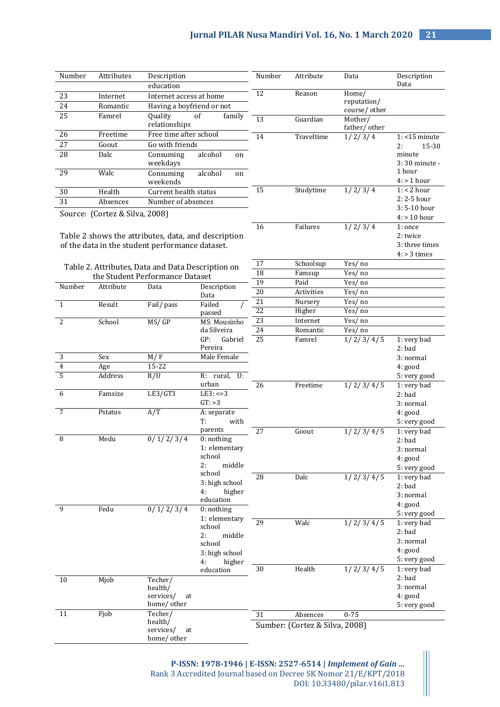| Number          | Attributes                     | Description<br>education                             |                                | Number          | Attribute                      | Data                    | Description<br>Data       |
|-----------------|--------------------------------|------------------------------------------------------|--------------------------------|-----------------|--------------------------------|-------------------------|---------------------------|
| 23              | Internet                       |                                                      |                                | $\overline{12}$ | Reason                         | Home/                   |                           |
| $\overline{24}$ | Romantic                       | Internet access at home<br>Having a boyfriend or not |                                |                 |                                | reputation/             |                           |
| 25              | Famrel                         | Quality                                              | family<br>of                   |                 |                                | course/ other           |                           |
|                 |                                | relationships                                        |                                | 13              | Guardian                       | Mother/<br>father/other |                           |
| 26              | Freetime                       | Free time after school                               |                                | 14              | Traveltime                     | 1/2/3/4                 | $1:$ <15 minute           |
| $\overline{27}$ | Goout                          | Go with friends                                      |                                |                 |                                |                         | 15-30<br>2:               |
| 28              | Dalc                           | Consuming<br>weekdays                                | alcohol<br>on                  |                 |                                |                         | minute<br>3:30 minute -   |
| 29              | Walc                           | Consuming<br>weekends                                | alcohol<br>on                  |                 |                                |                         | 1 hour<br>$4:$ > 1 hour   |
| $\overline{30}$ | Health                         | Current health status                                |                                | 15              | Studytime                      | 1/2/3/4                 | 1: 2 hour                 |
| $\overline{31}$ | Absences                       | Number of absences                                   |                                |                 |                                |                         | 2:2-5 hour                |
|                 | Source: (Cortez & Silva, 2008) |                                                      |                                |                 |                                |                         | 3:5-10 hour               |
|                 |                                |                                                      |                                | 16              | Failures                       | 1/2/3/4                 | $4:$ > 10 hour<br>1: once |
|                 |                                | Table 2 shows the attributes, data, and description  |                                |                 |                                |                         | 2: twice                  |
|                 |                                | of the data in the student performance dataset.      |                                |                 |                                |                         | 3: three times            |
|                 |                                |                                                      |                                |                 |                                |                         | $4:$ > 3 times            |
|                 |                                | Table 2. Attributes, Data and Data Description on    |                                | 17              | Schoolsup                      | Yes/no                  |                           |
|                 |                                | the Student Performance Dataset                      |                                | 18              | Famsup                         | Yes/ no                 |                           |
| Number          | Attribute                      | Data                                                 | Description                    | 19              | Paid                           | Yes/ no                 |                           |
|                 |                                |                                                      | Data                           | 20              | Activities                     | Yes/no                  |                           |
| $\mathbf{1}$    | Result                         | Fail/ pass                                           | Failed                         | 21              | Nursery                        | Yes/no                  |                           |
|                 |                                |                                                      | passed                         | $\overline{22}$ | Higher                         | Yes/ no                 |                           |
| 2               | School                         | MS/GP                                                | MS: Mousinho                   | 23              | Internet                       | Yes/ no                 |                           |
|                 |                                |                                                      | da Silveira                    | 24              | Romantic                       | Yes/ no                 |                           |
|                 |                                |                                                      | GP:<br>Gabriel<br>Pereira      | $\overline{25}$ | Famrel                         | 1/2/3/4/5               | 1: very bad<br>2:bad      |
| $\overline{3}$  | Sex                            | M/F                                                  | Male Female                    |                 |                                |                         | 3: normal                 |
| $\overline{4}$  | Age                            | 15-22                                                |                                |                 |                                |                         | 4: good                   |
| 5               | Address                        | R/U                                                  | U:<br>R: rural,                |                 |                                |                         | 5: very good              |
|                 |                                |                                                      | urban                          | 26              | Freetime                       | 1/2/3/4/5               | 1: very bad               |
| 6               | Famsize                        | LE3/GT3                                              | $LE3: \le = 3$                 |                 |                                |                         | 2:bad                     |
|                 |                                |                                                      | GT: > 3                        |                 |                                |                         | 3: normal                 |
| $\overline{7}$  | Pstatus                        | A/T                                                  | A: separate<br>T:              |                 |                                |                         | 4: good                   |
|                 |                                |                                                      | with<br>parents                | 27              | Goout                          |                         | 5: very good              |
| 8               | Medu                           | 0/1/2/3/4                                            | $0:$ nothing                   |                 |                                | 1/2/3/4/5               | 1: very bad<br>2:bad      |
|                 |                                |                                                      | 1: elementary                  |                 |                                |                         | 3: normal                 |
|                 |                                |                                                      | school                         |                 |                                |                         | 4: good                   |
|                 |                                |                                                      | 2:<br>middle                   |                 |                                |                         | 5: very good              |
|                 |                                |                                                      | school                         | 28              | Dalc                           | 1/2/3/4/5               | 1: very bad               |
|                 |                                |                                                      | 3: high school<br>4:<br>higher |                 |                                |                         | 2:bad                     |
|                 |                                |                                                      | education                      |                 |                                |                         | 3: normal                 |
| 9               | Fedu                           | 0/1/2/3/4                                            | $0:$ nothing                   |                 |                                |                         | 4: good                   |
|                 |                                |                                                      | 1: elementary                  | 29              |                                |                         | 5: very good              |
|                 |                                |                                                      | school                         |                 | Walc                           | 1/2/3/4/5               | 1: very bad<br>2:bad      |
|                 |                                |                                                      | 2:<br>middle                   |                 |                                |                         | 3: normal                 |
|                 |                                |                                                      | school                         |                 |                                |                         | 4:good                    |
|                 |                                |                                                      | 3: high school<br>4:<br>higher |                 |                                |                         | 5: very good              |
|                 |                                |                                                      | education                      | 30              | Health                         | 1/2/3/4/5               | 1: very bad               |
| 10              | Mjob                           | Techer/                                              |                                |                 |                                |                         | 2:bad                     |
|                 |                                | health/                                              |                                |                 |                                |                         | 3: normal                 |
|                 |                                | services/<br>at                                      |                                |                 |                                |                         | 4: good                   |
| 11              | Fjob                           | home/ other<br>Techer/                               |                                |                 |                                |                         | 5: very good              |
|                 |                                | health/                                              |                                | 31              | Absences                       | $0 - 75$                |                           |
|                 |                                | services/<br>at                                      |                                |                 | Sumber: (Cortez & Silva, 2008) |                         |                           |
|                 |                                | home/ other                                          |                                |                 |                                |                         |                           |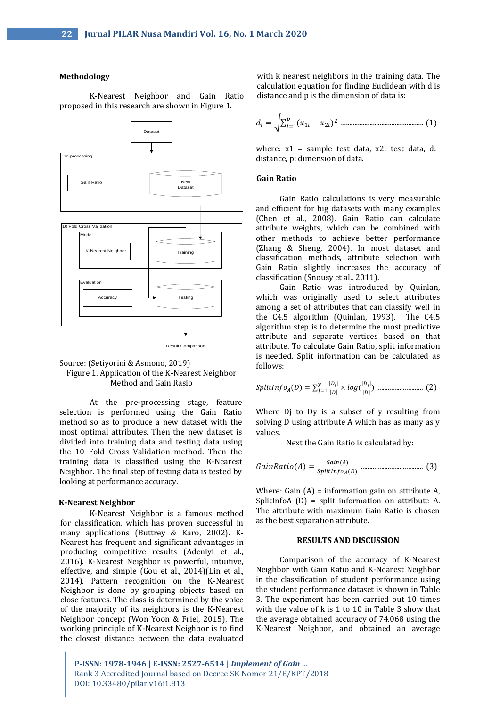#### **Methodology**

K-Nearest Neighbor and Gain Ratio proposed in this research are shown in Figure 1.





At the pre-processing stage, feature selection is performed using the Gain Ratio method so as to produce a new dataset with the most optimal attributes. Then the new dataset is divided into training data and testing data using the 10 Fold Cross Validation method. Then the training data is classified using the K-Nearest Neighbor. The final step of testing data is tested by looking at performance accuracy.

#### **K-Nearest Neighbor**

K-Nearest Neighbor is a famous method for classification, which has proven successful in many applications (Buttrey & Karo, 2002). K-Nearest has frequent and significant advantages in producing competitive results (Adeniyi et al., 2016). K-Nearest Neighbor is powerful, intuitive, effective, and simple (Gou et al., 2014)(Lin et al., 2014). Pattern recognition on the K-Nearest Neighbor is done by grouping objects based on close features. The class is determined by the voice of the majority of its neighbors is the K-Nearest Neighbor concept (Won Yoon & Friel, 2015). The working principle of K-Nearest Neighbor is to find the closest distance between the data evaluated with k nearest neighbors in the training data. The calculation equation for finding Euclidean with d is distance and p is the dimension of data is:

$$
d_i = \sqrt{\sum_{i=1}^{p} (x_{1i} - x_{2i})^2}
$$
 *...........*

where:  $x1 =$  sample test data,  $x2$ : test data, d: distance, p: dimension of data.

## **Gain Ratio**

Gain Ratio calculations is very measurable and efficient for big datasets with many examples (Chen et al., 2008). Gain Ratio can calculate attribute weights, which can be combined with other methods to achieve better performance (Zhang & Sheng, 2004). In most dataset and classification methods, attribute selection with Gain Ratio slightly increases the accuracy of classification (Snousy et al., 2011).

Gain Ratio was introduced by Quinlan, which was originally used to select attributes among a set of attributes that can classify well in the C4.5 algorithm (Quinlan, 1993). The C4.5 algorithm step is to determine the most predictive attribute and separate vertices based on that attribute. To calculate Gain Ratio, split information is needed. Split information can be calculated as follows:

Split
$$
Info_A(D) = \sum_{j=1}^{y} \frac{|D_j|}{|D|} \times log(\frac{|D_j|}{|D|})
$$
 ....... (2)

Where Di to Dy is a subset of y resulting from solving D using attribute A which has as many as y values.

Next the Gain Ratio is calculated by:

GainRatio(A) = 
$$
\frac{Gain(A)}{splitInfo_A(D)}
$$
 \n $\dots$  \n(3)

Where: Gain (A) = information gain on attribute A, SplitInfoA  $(D)$  = split information on attribute A. The attribute with maximum Gain Ratio is chosen as the best separation attribute.

#### **RESULTS AND DISCUSSION**

Comparison of the accuracy of K-Nearest Neighbor with Gain Ratio and K-Nearest Neighbor in the classification of student performance using the student performance dataset is shown in Table 3. The experiment has been carried out 10 times with the value of k is 1 to 10 in Table 3 show that the average obtained accuracy of 74.068 using the K-Nearest Neighbor, and obtained an average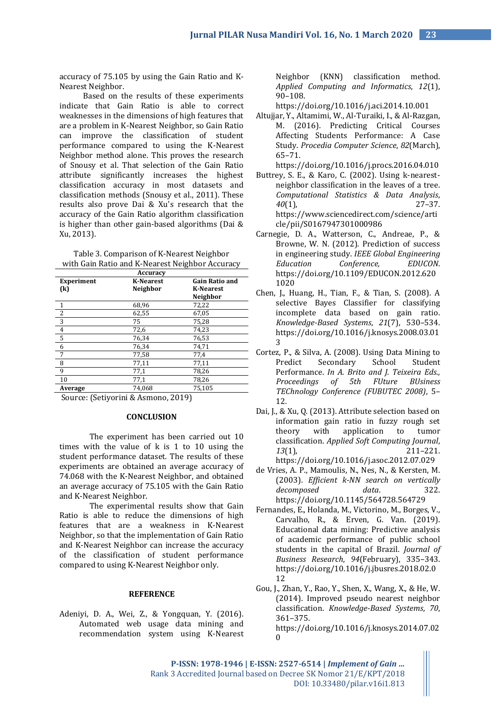accuracy of 75.105 by using the Gain Ratio and K-Nearest Neighbor.

Based on the results of these experiments indicate that Gain Ratio is able to correct weaknesses in the dimensions of high features that are a problem in K-Nearest Neighbor, so Gain Ratio can improve the classification of student performance compared to using the K-Nearest Neighbor method alone. This proves the research of Snousy et al. That selection of the Gain Ratio attribute significantly increases the highest classification accuracy in most datasets and classification methods (Snousy et al., 2011). These results also prove Dai & Xu's research that the accuracy of the Gain Ratio algorithm classification is higher than other gain-based algorithms (Dai & Xu, 2013).

Table 3. Comparison of K-Nearest Neighbor with Gain Ratio and K-Nearest Neighbor Accuracy

| <b>Accuracy</b>            |                  |                       |  |  |
|----------------------------|------------------|-----------------------|--|--|
| <b>Experiment</b>          | <b>K-Nearest</b> | <b>Gain Ratio and</b> |  |  |
| $\left( \mathrm{k}\right)$ | Neighbor         | <b>K-Nearest</b>      |  |  |
|                            |                  | Neighbor              |  |  |
| 1                          | 68,96            | 72,22                 |  |  |
| $\overline{2}$             | 62,55            | 67,05                 |  |  |
| 3                          | 75               | 75,28                 |  |  |
| $\overline{\mathbf{4}}$    | 72,6             | 74,23                 |  |  |
| $\overline{5}$             | 76,34            | 76,53                 |  |  |
| $\overline{6}$             | 76,34            | 74,71                 |  |  |
| $\overline{7}$             | 77,58            | 77,4                  |  |  |
| 8                          | 77,11            | 77,11                 |  |  |
| 9                          | 77,1             | 78,26                 |  |  |
| 10                         | 77,1             | 78,26                 |  |  |
| Average                    | 74,068           | 75,105                |  |  |

Source: (Setiyorini & Asmono, 2019)

## **CONCLUSION**

The experiment has been carried out 10 times with the value of k is 1 to 10 using the student performance dataset. The results of these experiments are obtained an average accuracy of 74.068 with the K-Nearest Neighbor, and obtained an average accuracy of 75.105 with the Gain Ratio and K-Nearest Neighbor.

The experimental results show that Gain Ratio is able to reduce the dimensions of high features that are a weakness in K-Nearest Neighbor, so that the implementation of Gain Ratio and K-Nearest Neighbor can increase the accuracy of the classification of student performance compared to using K-Nearest Neighbor only.

## **REFERENCE**

Adeniyi, D. A., Wei, Z., & Yongquan, Y. (2016). Automated web usage data mining and recommendation system using K-Nearest

Neighbor (KNN) classification method. *Applied Computing and Informatics*, *12*(1), 90–108.

https://doi.org/10.1016/j.aci.2014.10.001

Altujjar, Y., Altamimi, W., Al-Turaiki, I., & Al-Razgan, M. (2016). Predicting Critical Courses Affecting Students Performance: A Case Study. *Procedia Computer Science*, *82*(March), 65–71.

https://doi.org/10.1016/j.procs.2016.04.010

- Buttrey, S. E., & Karo, C. (2002). Using k-nearestneighbor classification in the leaves of a tree. *Computational Statistics & Data Analysis*, *40*(1), 27–37. https://www.sciencedirect.com/science/arti cle/pii/S0167947301000986
- Carnegie, D. A., Watterson, C., Andreae, P., & Browne, W. N. (2012). Prediction of success in engineering study. *IEEE Global Engineering Education Conference, EDUCON*. https://doi.org/10.1109/EDUCON.2012.620 1020
- Chen, J., Huang, H., Tian, F., & Tian, S. (2008). A selective Bayes Classifier for classifying incomplete data based on gain ratio. *Knowledge-Based Systems*, *21*(7), 530–534. https://doi.org/10.1016/j.knosys.2008.03.01 3
- Cortez, P., & Silva, A. (2008). Using Data Mining to Predict Secondary School Student Performance. *In A. Brito and J. Teixeira Eds., Proceedings of 5th FUture BUsiness TEChnology Conference (FUBUTEC 2008)*, 5– 12.
- Dai, J., & Xu, Q. (2013). Attribute selection based on information gain ratio in fuzzy rough set theory with application to tumor classification. *Applied Soft Computing Journal*, *13*(1), 211–221. https://doi.org/10.1016/j.asoc.2012.07.029
- de Vries, A. P., Mamoulis, N., Nes, N., & Kersten, M. (2003). *Efficient k-NN search on vertically decomposed data*. 322. https://doi.org/10.1145/564728.564729
- Fernandes, E., Holanda, M., Victorino, M., Borges, V., Carvalho, R., & Erven, G. Van. (2019). Educational data mining: Predictive analysis of academic performance of public school students in the capital of Brazil. *Journal of Business Research*, *94*(February), 335–343. https://doi.org/10.1016/j.jbusres.2018.02.0 12
- Gou, J., Zhan, Y., Rao, Y., Shen, X., Wang, X., & He, W. (2014). Improved pseudo nearest neighbor classification. *Knowledge-Based Systems*, *70*, 361–375.

https://doi.org/10.1016/j.knosys.2014.07.02  $\Omega$